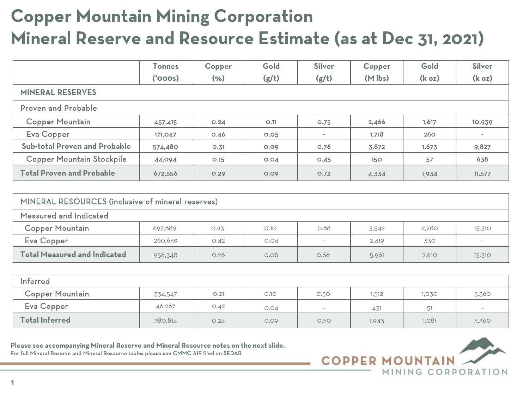## **Copper Mountain Mining Corporation Mineral Reserve and Resource Estimate (as at Dec 31, 2021)**

|                                      | <b>Tonnes</b> | Copper | Gold        | <b>Silver</b> | Copper              | Gold               | <b>Silver</b>      |
|--------------------------------------|---------------|--------|-------------|---------------|---------------------|--------------------|--------------------|
|                                      | (5000)        | (%)    | (g/t)       | (g/t)         | $(M \, \text{lbs})$ | (k <sub>oz</sub> ) | (k <sub>oz</sub> ) |
| <b>MINERAL RESERVES</b>              |               |        |             |               |                     |                    |                    |
| <b>Proven and Probable</b>           |               |        |             |               |                     |                    |                    |
| <b>Copper Mountain</b>               | 457,415       | O.24   | O.11        | 0.75          | 2,466               | 1,617              | 10,939             |
| Eva Copper                           | 171,047       | O.46   | <b>O.O5</b> | $\sim$        | 1,718               | 260                | $\sim$             |
| <b>Sub-total Proven and Probable</b> | 574,480       | 0.31   | 0.09        | O.76          | 3,872               | 1,673              | 9,827              |
| <b>Copper Mountain Stockpile</b>     | 44,094        | O.15   | O.O4        | O.45          | <b>150</b>          | 57                 | 638                |
| <b>Total Proven and Probable</b>     | 672,556       | 0.29   | 0.09        | O.72          | 4,334               | 1,934              | 11,577             |

| MINERAL RESOURCES (inclusive of mineral reserves) |         |      |       |      |       |       |        |
|---------------------------------------------------|---------|------|-------|------|-------|-------|--------|
| Measured and Indicated                            |         |      |       |      |       |       |        |
| <b>Copper Mountain</b>                            | 697,689 | O.23 | O.I.O | 0.68 | 3,542 | 2,280 | 15,310 |
| Eva Copper                                        | 260,659 | O.42 | O.O4  | -    | 2,419 | 330   | $\sim$ |
| <b>Total Measured and Indicated</b>               | 958,348 | O.28 | 0.08  | O.68 | 5,961 | 2,610 | 15,310 |

| Inferred               |         |      |      |      |       |       |       |
|------------------------|---------|------|------|------|-------|-------|-------|
| <b>Copper Mountain</b> | 334,547 | O.21 | O.IO | 0.50 | 1,512 | 1,030 | 5,360 |
| Eva Copper             | 46,267  | O.42 | O.O4 |      | 431   | 51    |       |
| <b>Total Inferred</b>  | 380,814 | O.24 | 0.09 | 0.50 | 1,943 | 1,081 | 5,360 |

**Please see accompanying Mineral Reserve and Mineral Resource notes on the next slide.**  For full Mineral Reserve and Mineral Resource tables please see CMMC AIF filed on SEDAR

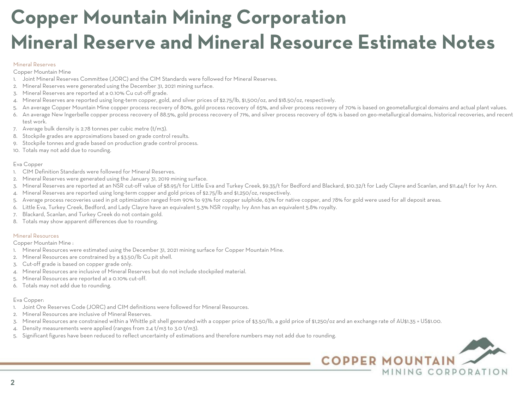# **Copper Mountain Mining Corporation Mineral Reserve and Mineral Resource Estimate Notes**

#### Mineral Reserves

Copper Mountain Mine

- 1. Joint Mineral Reserves Committee (JORC) and the CIM Standards were followed for Mineral Reserves.
- 2. Mineral Reserves were generated using the December 31, 2021 mining surface.
- 3. Mineral Reserves are reported at a 0.10% Cu cut-off grade.
- 4. Mineral Reserves are reported using long-term copper, gold, and silver prices of \$2.75/lb, \$1,500/oz, and \$18.50/oz, respectively.
- An average Copper Mountain Mine copper process recovery of 80%, gold process recovery of 65%, and silver process recovery of 70% is based on geometallurgical domains and actual plant values.
- 6. An average New Ingerbelle copper process recovery of 88.5%, gold process recovery of 71%, and silver process recovery of 65% is based on geo-metallurgical domains, historical recoveries, and recent test work.
- 7. Average bulk density is 2.78 tonnes per cubic metre (t/m3).
- 8. Stockpile grades are approximations based on grade control results.
- 9. Stockpile tonnes and grade based on production grade control process.
- 10. Totals may not add due to rounding.

### Eva Copper

- 1. CIM Definition Standards were followed for Mineral Reserves.
- 2. Mineral Reserves were generated using the January 31, 2019 mining surface.
- 3. Mineral Reserves are reported at an NSR cut-off value of \$8.95/t for Little Eva and Turkey Creek, \$9.35/t for Bedford and Blackard, \$10.32/t for Lady Clayre and Scanlan, and \$11.44/t for Ivy Ann.
- 4. Mineral Reserves are reported using long-term copper and gold prices of \$2.75/lb and \$1,250/oz, respectively.
- Average process recoveries used in pit optimization ranged from 90% to 93% for copper sulphide, 63% for native copper, and 78% for gold were used for all deposit areas.
- 6. Little Eva, Turkey Creek, Bedford, and Lady Clayre have an equivalent 5.3% NSR royalty; Ivy Ann has an equivalent 5.8% royalty.
- 7. Blackard, Scanlan, and Turkey Creek do not contain gold.
- 8. Totals may show apparent differences due to rounding.

### Mineral Resources

Copper Mountain Mine :

- 1. Mineral Resources were estimated using the December 31, 2021 mining surface for Copper Mountain Mine.
- 2. Mineral Resources are constrained by a \$3.50/lb Cu pit shell.
- 3. Cut-off grade is based on copper grade only.
- 4. Mineral Resources are inclusive of Mineral Reserves but do not include stockpiled material.
- Mineral Resources are reported at a 0.10% cut-off.
- 6. Totals may not add due to rounding.

### Eva Copper:

- 1. Joint Ore Reserves Code (JORC) and CIM definitions were followed for Mineral Resources.
- 2. Mineral Resources are inclusive of Mineral Reserves.
- 3. Mineral Resources are constrained within a Whittle pit shell generated with a copper price of \$3.50/lb, a gold price of \$1,250/oz and an exchange rate of AU\$1.35 = US\$1.00.
- Density measurements were applied (ranges from 2.4 t/m3 to 3.0 t/m3).
- Significant figures have been reduced to reflect uncertainty of estimations and therefore numbers may not add due to rounding.